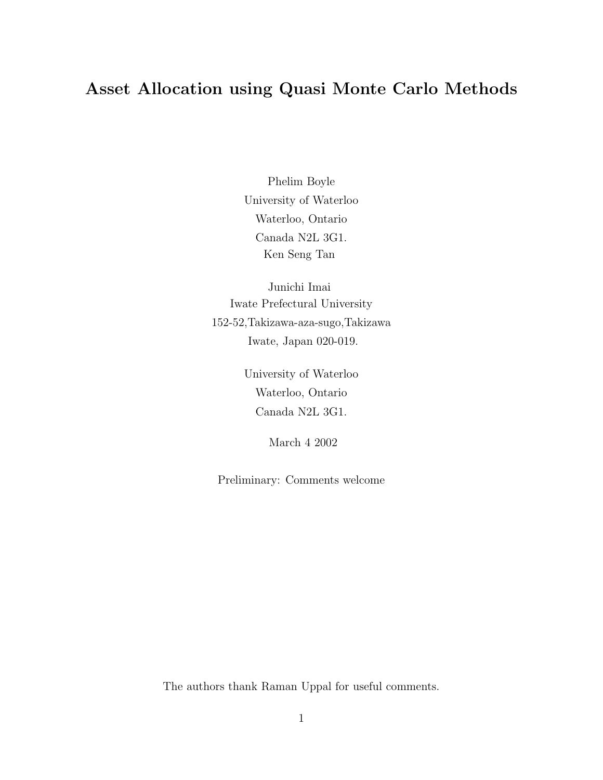## Asset Allocation using Quasi Monte Carlo Methods

Phelim Boyle University of Waterloo Waterloo, Ontario Canada N2L 3G1. Ken Seng Tan

Junichi Imai Iwate Prefectural University 152-52,Takizawa-aza-sugo,Takizawa Iwate, Japan 020-019.

> University of Waterloo Waterloo, Ontario Canada N2L 3G1.

> > March 4 2002

Preliminary: Comments welcome

The authors thank Raman Uppal for useful comments.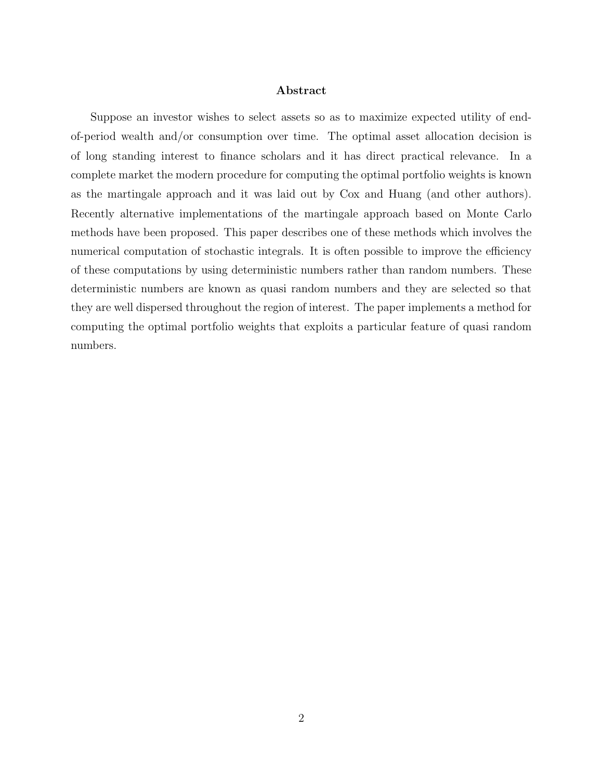#### Abstract

Suppose an investor wishes to select assets so as to maximize expected utility of endof-period wealth and/or consumption over time. The optimal asset allocation decision is of long standing interest to finance scholars and it has direct practical relevance. In a complete market the modern procedure for computing the optimal portfolio weights is known as the martingale approach and it was laid out by Cox and Huang (and other authors). Recently alternative implementations of the martingale approach based on Monte Carlo methods have been proposed. This paper describes one of these methods which involves the numerical computation of stochastic integrals. It is often possible to improve the efficiency of these computations by using deterministic numbers rather than random numbers. These deterministic numbers are known as quasi random numbers and they are selected so that they are well dispersed throughout the region of interest. The paper implements a method for computing the optimal portfolio weights that exploits a particular feature of quasi random numbers.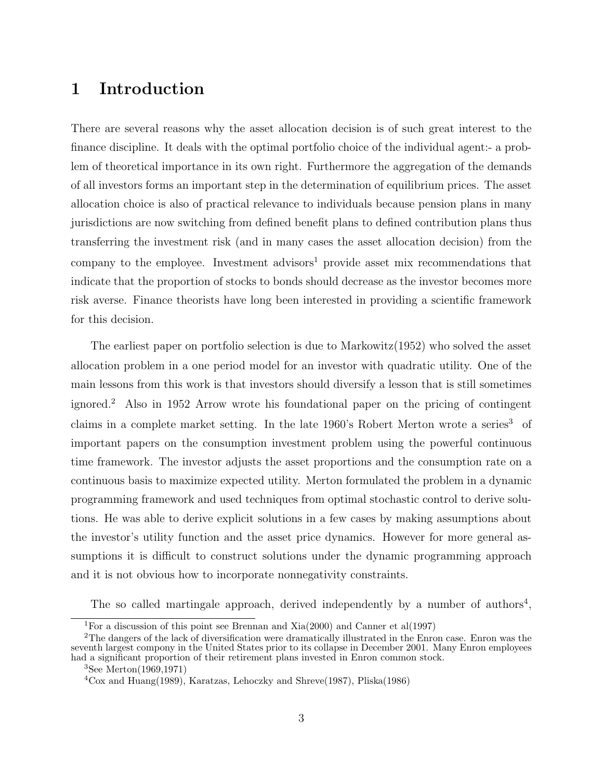# 1 Introduction

There are several reasons why the asset allocation decision is of such great interest to the finance discipline. It deals with the optimal portfolio choice of the individual agent:- a problem of theoretical importance in its own right. Furthermore the aggregation of the demands of all investors forms an important step in the determination of equilibrium prices. The asset allocation choice is also of practical relevance to individuals because pension plans in many jurisdictions are now switching from defined benefit plans to defined contribution plans thus transferring the investment risk (and in many cases the asset allocation decision) from the company to the employee. Investment advisors<sup>1</sup> provide asset mix recommendations that indicate that the proportion of stocks to bonds should decrease as the investor becomes more risk averse. Finance theorists have long been interested in providing a scientific framework for this decision.

The earliest paper on portfolio selection is due to Markowitz(1952) who solved the asset allocation problem in a one period model for an investor with quadratic utility. One of the main lessons from this work is that investors should diversify a lesson that is still sometimes ignored.<sup>2</sup> Also in 1952 Arrow wrote his foundational paper on the pricing of contingent claims in a complete market setting. In the late 1960's Robert Merton wrote a series<sup>3</sup> of important papers on the consumption investment problem using the powerful continuous time framework. The investor adjusts the asset proportions and the consumption rate on a continuous basis to maximize expected utility. Merton formulated the problem in a dynamic programming framework and used techniques from optimal stochastic control to derive solutions. He was able to derive explicit solutions in a few cases by making assumptions about the investor's utility function and the asset price dynamics. However for more general assumptions it is difficult to construct solutions under the dynamic programming approach and it is not obvious how to incorporate nonnegativity constraints.

The so called martingale approach, derived independently by a number of authors<sup>4</sup>,

<sup>&</sup>lt;sup>1</sup>For a discussion of this point see Brennan and Xia(2000) and Canner et al(1997)

<sup>&</sup>lt;sup>2</sup>The dangers of the lack of diversification were dramatically illustrated in the Enron case. Enron was the seventh largest compony in the United States prior to its collapse in December 2001. Many Enron employees had a significant proportion of their retirement plans invested in Enron common stock.

<sup>3</sup>See Merton(1969,1971)

<sup>4</sup>Cox and Huang(1989), Karatzas, Lehoczky and Shreve(1987), Pliska(1986)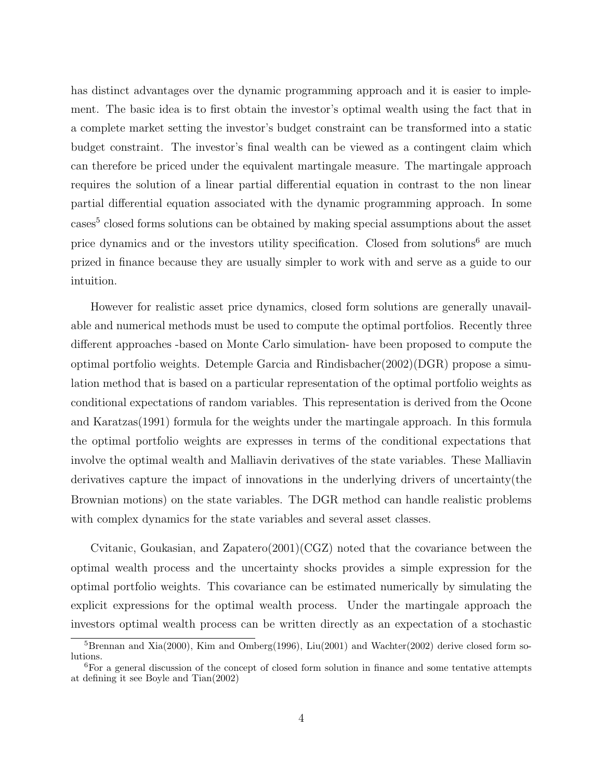has distinct advantages over the dynamic programming approach and it is easier to implement. The basic idea is to first obtain the investor's optimal wealth using the fact that in a complete market setting the investor's budget constraint can be transformed into a static budget constraint. The investor's final wealth can be viewed as a contingent claim which can therefore be priced under the equivalent martingale measure. The martingale approach requires the solution of a linear partial differential equation in contrast to the non linear partial differential equation associated with the dynamic programming approach. In some cases<sup>5</sup> closed forms solutions can be obtained by making special assumptions about the asset price dynamics and or the investors utility specification. Closed from solutions<sup>6</sup> are much prized in finance because they are usually simpler to work with and serve as a guide to our intuition.

However for realistic asset price dynamics, closed form solutions are generally unavailable and numerical methods must be used to compute the optimal portfolios. Recently three different approaches -based on Monte Carlo simulation- have been proposed to compute the optimal portfolio weights. Detemple Garcia and Rindisbacher(2002)(DGR) propose a simulation method that is based on a particular representation of the optimal portfolio weights as conditional expectations of random variables. This representation is derived from the Ocone and Karatzas(1991) formula for the weights under the martingale approach. In this formula the optimal portfolio weights are expresses in terms of the conditional expectations that involve the optimal wealth and Malliavin derivatives of the state variables. These Malliavin derivatives capture the impact of innovations in the underlying drivers of uncertainty(the Brownian motions) on the state variables. The DGR method can handle realistic problems with complex dynamics for the state variables and several asset classes.

Cvitanic, Goukasian, and Zapatero(2001)(CGZ) noted that the covariance between the optimal wealth process and the uncertainty shocks provides a simple expression for the optimal portfolio weights. This covariance can be estimated numerically by simulating the explicit expressions for the optimal wealth process. Under the martingale approach the investors optimal wealth process can be written directly as an expectation of a stochastic

 ${}^{5}$ Brennan and Xia(2000), Kim and Omberg(1996), Liu(2001) and Wachter(2002) derive closed form solutions.

<sup>6</sup>For a general discussion of the concept of closed form solution in finance and some tentative attempts at defining it see Boyle and Tian(2002)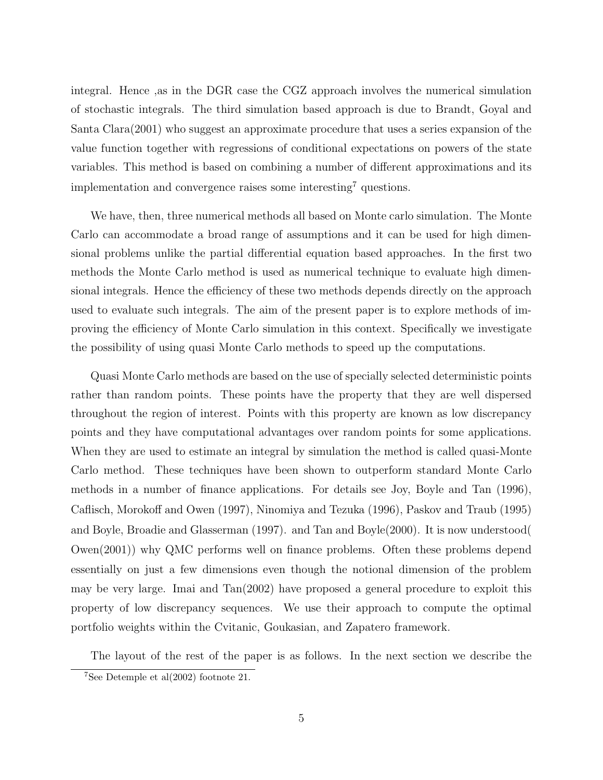integral. Hence ,as in the DGR case the CGZ approach involves the numerical simulation of stochastic integrals. The third simulation based approach is due to Brandt, Goyal and Santa Clara(2001) who suggest an approximate procedure that uses a series expansion of the value function together with regressions of conditional expectations on powers of the state variables. This method is based on combining a number of different approximations and its implementation and convergence raises some interesting<sup>7</sup> questions.

We have, then, three numerical methods all based on Monte carlo simulation. The Monte Carlo can accommodate a broad range of assumptions and it can be used for high dimensional problems unlike the partial differential equation based approaches. In the first two methods the Monte Carlo method is used as numerical technique to evaluate high dimensional integrals. Hence the efficiency of these two methods depends directly on the approach used to evaluate such integrals. The aim of the present paper is to explore methods of improving the efficiency of Monte Carlo simulation in this context. Specifically we investigate the possibility of using quasi Monte Carlo methods to speed up the computations.

Quasi Monte Carlo methods are based on the use of specially selected deterministic points rather than random points. These points have the property that they are well dispersed throughout the region of interest. Points with this property are known as low discrepancy points and they have computational advantages over random points for some applications. When they are used to estimate an integral by simulation the method is called quasi-Monte Carlo method. These techniques have been shown to outperform standard Monte Carlo methods in a number of finance applications. For details see Joy, Boyle and Tan (1996), Caflisch, Morokoff and Owen (1997), Ninomiya and Tezuka (1996), Paskov and Traub (1995) and Boyle, Broadie and Glasserman (1997). and Tan and Boyle(2000). It is now understood( Owen(2001)) why QMC performs well on finance problems. Often these problems depend essentially on just a few dimensions even though the notional dimension of the problem may be very large. Imai and Tan(2002) have proposed a general procedure to exploit this property of low discrepancy sequences. We use their approach to compute the optimal portfolio weights within the Cvitanic, Goukasian, and Zapatero framework.

The layout of the rest of the paper is as follows. In the next section we describe the

<sup>7</sup>See Detemple et al(2002) footnote 21.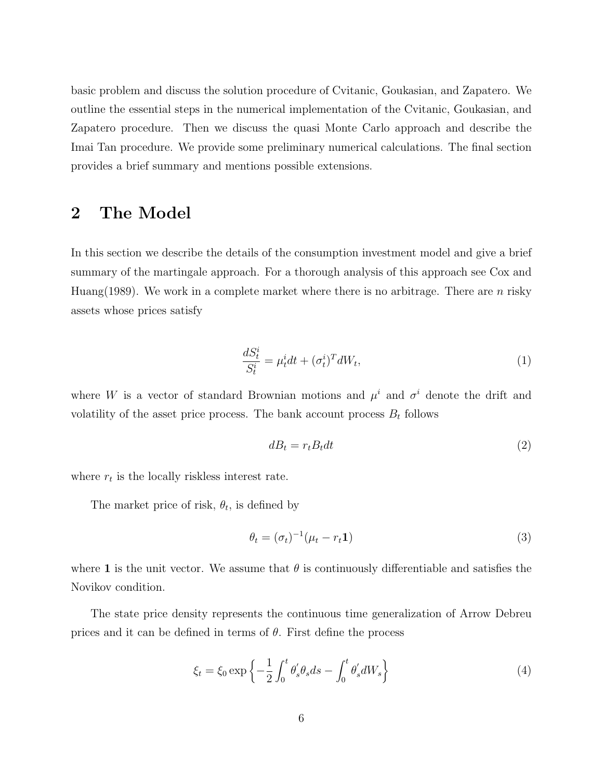basic problem and discuss the solution procedure of Cvitanic, Goukasian, and Zapatero. We outline the essential steps in the numerical implementation of the Cvitanic, Goukasian, and Zapatero procedure. Then we discuss the quasi Monte Carlo approach and describe the Imai Tan procedure. We provide some preliminary numerical calculations. The final section provides a brief summary and mentions possible extensions.

#### 2 The Model

In this section we describe the details of the consumption investment model and give a brief summary of the martingale approach. For a thorough analysis of this approach see Cox and Huang(1989). We work in a complete market where there is no arbitrage. There are  $n$  risky assets whose prices satisfy

$$
\frac{dS_t^i}{S_t^i} = \mu_t^i dt + (\sigma_t^i)^T dW_t,
$$
\n(1)

where W is a vector of standard Brownian motions and  $\mu^{i}$  and  $\sigma^{i}$  denote the drift and volatility of the asset price process. The bank account process  $B_t$  follows

$$
dB_t = r_t B_t dt \tag{2}
$$

where  $r_t$  is the locally riskless interest rate.

The market price of risk,  $\theta_t$ , is defined by

$$
\theta_t = (\sigma_t)^{-1} (\mu_t - r_t \mathbf{1}) \tag{3}
$$

where 1 is the unit vector. We assume that  $\theta$  is continuously differentiable and satisfies the Novikov condition.

The state price density represents the continuous time generalization of Arrow Debreu prices and it can be defined in terms of  $\theta$ . First define the process

$$
\xi_t = \xi_0 \exp\left\{-\frac{1}{2} \int_0^t \theta'_s \theta_s ds - \int_0^t \theta'_s dW_s\right\} \tag{4}
$$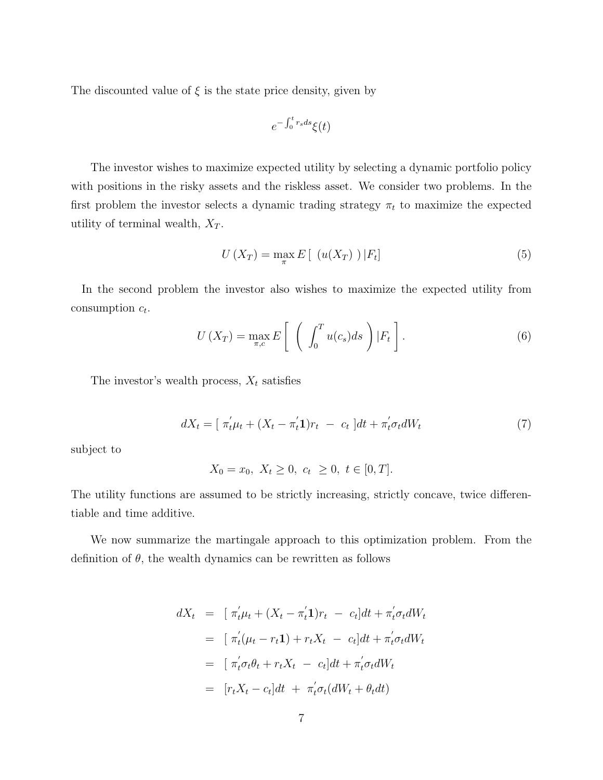The discounted value of  $\xi$  is the state price density, given by

$$
e^{-\int_0^t r_s ds} \xi(t)
$$

The investor wishes to maximize expected utility by selecting a dynamic portfolio policy with positions in the risky assets and the riskless asset. We consider two problems. In the first problem the investor selects a dynamic trading strategy  $\pi_t$  to maximize the expected utility of terminal wealth,  $X_T$ .

$$
U\left(X_T\right) = \max_{\pi} E\left[\left(u(X_T)\right)|F_t\right]
$$
\n<sup>(5)</sup>

In the second problem the investor also wishes to maximize the expected utility from consumption  $c_t$ .

$$
U\left(X_T\right) = \max_{\pi,c} E\left[\left(\int_0^T u(c_s)ds\right)|F_t\right].\tag{6}
$$

The investor's wealth process,  $X_t$  satisfies

$$
dX_t = [\ \pi'_t \mu_t + (X_t - \pi'_t \mathbf{1})r_t - c_t \ ]dt + \pi'_t \sigma_t dW_t \tag{7}
$$

subject to

$$
X_0 = x_0, \ X_t \ge 0, \ c_t \ \ge 0, \ t \in [0, T].
$$

The utility functions are assumed to be strictly increasing, strictly concave, twice differentiable and time additive.

We now summarize the martingale approach to this optimization problem. From the definition of  $\theta$ , the wealth dynamics can be rewritten as follows

$$
dX_t = [\pi'_t \mu_t + (X_t - \pi'_t \mathbf{1})r_t - c_t]dt + \pi'_t \sigma_t dW_t
$$
  
\n
$$
= [\pi'_t(\mu_t - r_t \mathbf{1}) + r_t X_t - c_t]dt + \pi'_t \sigma_t dW_t
$$
  
\n
$$
= [\pi'_t \sigma_t \theta_t + r_t X_t - c_t]dt + \pi'_t \sigma_t dW_t
$$
  
\n
$$
= [r_t X_t - c_t]dt + \pi'_t \sigma_t (dW_t + \theta_t dt)
$$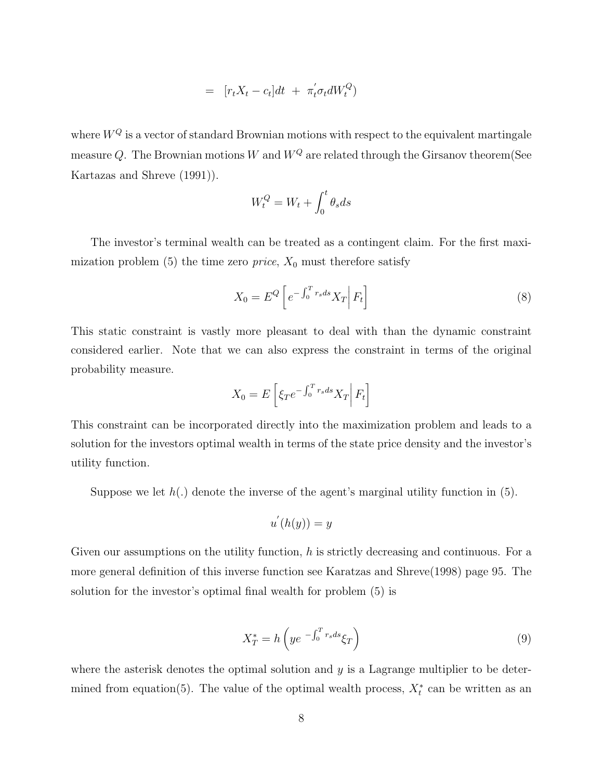$$
= [r_t X_t - c_t] dt + \pi_t^{'} \sigma_t dW_t^Q
$$

where  $W^Q$  is a vector of standard Brownian motions with respect to the equivalent martingale measure Q. The Brownian motions W and  $W^Q$  are related through the Girsanov theorem(See Kartazas and Shreve (1991)).

$$
W_t^Q = W_t + \int_0^t \theta_s ds
$$

The investor's terminal wealth can be treated as a contingent claim. For the first maximization problem  $(5)$  the time zero *price*,  $X_0$  must therefore satisfy

$$
X_0 = E^Q \left[ e^{-\int_0^T r_s ds} X_T \right] F_t \right]
$$
\n(8)

This static constraint is vastly more pleasant to deal with than the dynamic constraint considered earlier. Note that we can also express the constraint in terms of the original probability measure.

$$
X_0 = E\left[\xi_T e^{-\int_0^T r_s ds} X_T \middle| F_t\right]
$$

This constraint can be incorporated directly into the maximization problem and leads to a solution for the investors optimal wealth in terms of the state price density and the investor's utility function.

Suppose we let  $h(.)$  denote the inverse of the agent's marginal utility function in  $(5)$ .

$$
u^{'}(h(y)) = y
$$

Given our assumptions on the utility function,  $h$  is strictly decreasing and continuous. For a more general definition of this inverse function see Karatzas and Shreve(1998) page 95. The solution for the investor's optimal final wealth for problem (5) is

$$
X_T^* = h\left(ye^{-\int_0^T r_s ds}\xi_T\right) \tag{9}
$$

where the asterisk denotes the optimal solution and  $y$  is a Lagrange multiplier to be determined from equation(5). The value of the optimal wealth process,  $X_t^*$  can be written as an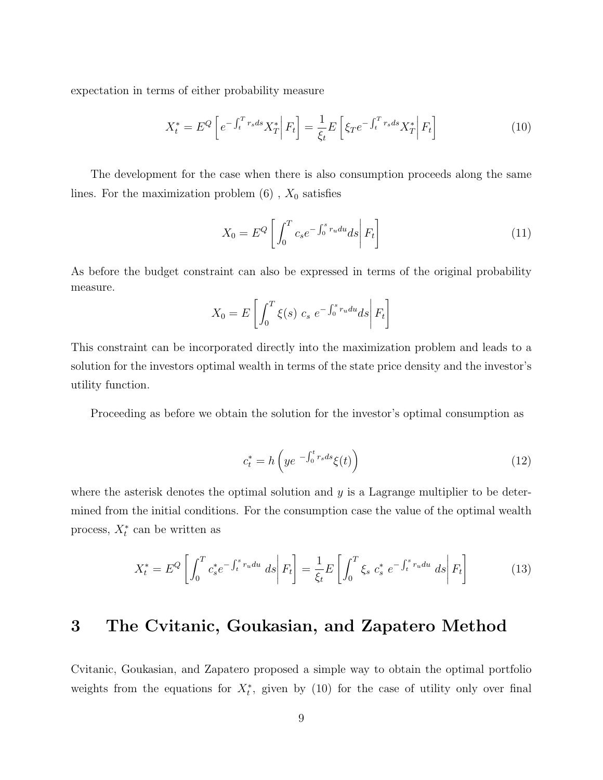expectation in terms of either probability measure

$$
X_t^* = E^Q \left[ e^{-\int_t^T r_s ds} X_T^* \middle| F_t \right] = \frac{1}{\xi_t} E \left[ \xi_T e^{-\int_t^T r_s ds} X_T^* \middle| F_t \right] \tag{10}
$$

The development for the case when there is also consumption proceeds along the same lines. For the maximization problem  $(6)$ ,  $X_0$  satisfies

$$
X_0 = E^Q \left[ \int_0^T c_s e^{-\int_0^s r_u du} ds \right] F_t \right]
$$
 (11)

As before the budget constraint can also be expressed in terms of the original probability measure.

$$
X_0 = E\left[\int_0^T \xi(s) \ c_s \ e^{-\int_0^s r_u du} ds \middle| F_t\right]
$$

This constraint can be incorporated directly into the maximization problem and leads to a solution for the investors optimal wealth in terms of the state price density and the investor's utility function.

Proceeding as before we obtain the solution for the investor's optimal consumption as

$$
c_t^* = h\left(ye^{-\int_0^t r_s ds}\xi(t)\right) \tag{12}
$$

where the asterisk denotes the optimal solution and  $y$  is a Lagrange multiplier to be determined from the initial conditions. For the consumption case the value of the optimal wealth process,  $X_t^*$  can be written as

$$
X_t^* = E^Q \left[ \int_0^T c_s^* e^{-\int_t^s r_u du} ds \right| F_t \right] = \frac{1}{\xi_t} E \left[ \int_0^T \xi_s c_s^* e^{-\int_t^s r_u du} ds \right| F_t \right]
$$
(13)

### 3 The Cvitanic, Goukasian, and Zapatero Method

Cvitanic, Goukasian, and Zapatero proposed a simple way to obtain the optimal portfolio weights from the equations for  $X_t^*$ , given by (10) for the case of utility only over final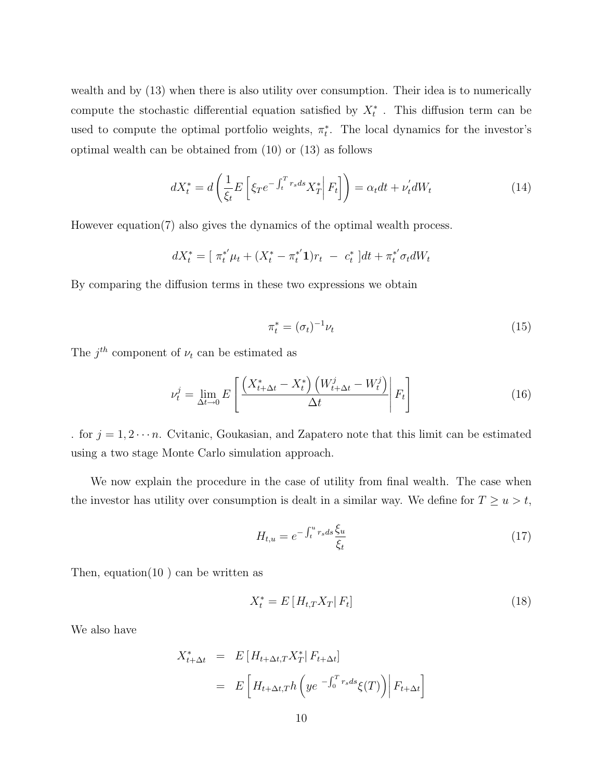wealth and by  $(13)$  when there is also utility over consumption. Their idea is to numerically compute the stochastic differential equation satisfied by  $X_t^*$ . This diffusion term can be used to compute the optimal portfolio weights,  $\pi_t^*$ . The local dynamics for the investor's optimal wealth can be obtained from (10) or (13) as follows

$$
dX_t^* = d\left(\frac{1}{\xi_t}E\left[\xi_T e^{-\int_t^T r_s ds} X_T^*\middle| F_t\right]\right) = \alpha_t dt + \nu_t' dW_t
$$
\n(14)

However equation(7) also gives the dynamics of the optimal wealth process.

$$
dX_t^* = [\ \pi_t^{*'} \mu_t + (X_t^* - \pi_t^{*'} \mathbf{1})r_t - c_t^* \ ]dt + \pi_t^{*'} \sigma_t dW_t
$$

By comparing the diffusion terms in these two expressions we obtain

$$
\pi_t^* = (\sigma_t)^{-1} \nu_t \tag{15}
$$

The  $j^{th}$  component of  $\nu_t$  can be estimated as

$$
\nu_t^j = \lim_{\Delta t \to 0} E\left[ \frac{\left(X_{t+\Delta t}^* - X_t^*\right) \left(W_{t+\Delta t}^j - W_t^j\right)}{\Delta t} \middle| F_t \right] \tag{16}
$$

. for  $j = 1, 2 \cdots n$ . Cvitanic, Goukasian, and Zapatero note that this limit can be estimated using a two stage Monte Carlo simulation approach.

We now explain the procedure in the case of utility from final wealth. The case when the investor has utility over consumption is dealt in a similar way. We define for  $T \ge u > t$ ,

$$
H_{t,u} = e^{-\int_t^u r_s ds \frac{\xi_u}{\xi_t}}
$$
\n
$$
\tag{17}
$$

Then, equation(10 ) can be written as

$$
X_t^* = E\left[H_{t,T}X_T|F_t\right] \tag{18}
$$

We also have

$$
X_{t+\Delta t}^* = E\left[H_{t+\Delta t,T}X_T^*|F_{t+\Delta t}\right]
$$
  
= 
$$
E\left[H_{t+\Delta t,T}h\left(ye^{-\int_0^T r_s ds}\xi(T)\right)|F_{t+\Delta t}\right]
$$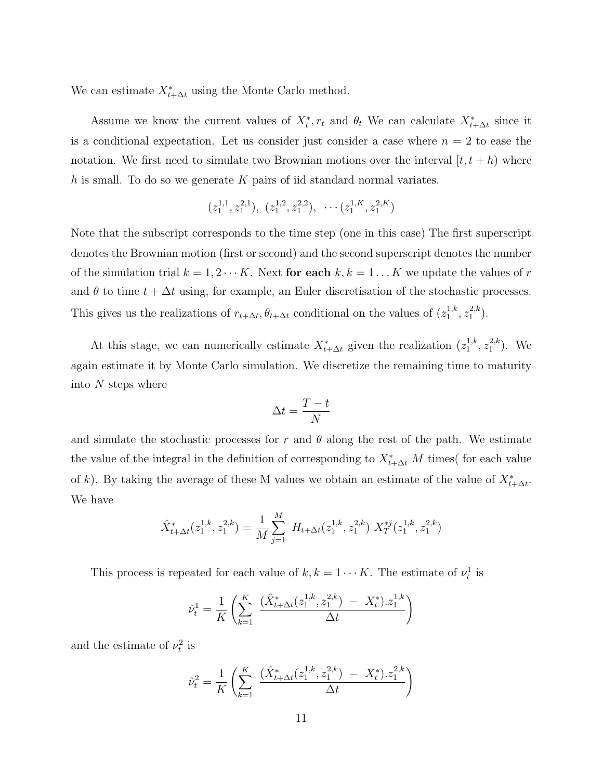We can estimate  $X_{t+\Delta t}^*$  using the Monte Carlo method.

Assume we know the current values of  $X_t^*$ ,  $r_t$  and  $\theta_t$ . We can calculate  $X_{t+\Delta t}^*$  since it is a conditional expectation. Let us consider just consider a case where  $n = 2$  to ease the notation. We first need to simulate two Brownian motions over the interval  $[t, t + h]$  where h is small. To do so we generate  $K$  pairs of iid standard normal variates.

$$
(z_1^{1,1}, z_1^{2,1}), (z_1^{1,2}, z_1^{2,2}), \cdots (z_1^{1,K}, z_1^{2,K})
$$

Note that the subscript corresponds to the time step (one in this case) The first superscript denotes the Brownian motion (first or second) and the second superscript denotes the number of the simulation trial  $k = 1, 2 \cdots K$ . Next for each  $k, k = 1 \cdots K$  we update the values of r and  $\theta$  to time  $t + \Delta t$  using, for example, an Euler discretisation of the stochastic processes. This gives us the realizations of  $r_{t+\Delta t}$ ,  $\theta_{t+\Delta t}$  conditional on the values of  $(z_1^{1,k})$  $x_1^{1,k}, z_1^{2,k}$  $\binom{2,\kappa}{1}$ .

At this stage, we can numerically estimate  $X_{t+\Delta t}^*$  given the realization  $(z_1^{1,k})$  $x_1^{1,k}, z_1^{2,k}$  $_{1}^{2,k}$ ). We again estimate it by Monte Carlo simulation. We discretize the remaining time to maturity into N steps where

$$
\Delta t = \frac{T - t}{N}
$$

and simulate the stochastic processes for r and  $\theta$  along the rest of the path. We estimate the value of the integral in the definition of corresponding to  $X^*_{t+\Delta t}$  M times( for each value of k). By taking the average of these M values we obtain an estimate of the value of  $X^*_{t+\Delta t}$ . We have

$$
\hat{X}_{t+\Delta t}^*(z_1^{1,k}, z_1^{2,k}) = \frac{1}{M} \sum_{j=1}^M H_{t+\Delta t}(z_1^{1,k}, z_1^{2,k}) X_T^{*j}(z_1^{1,k}, z_1^{2,k})
$$

This process is repeated for each value of  $k, k = 1 \cdots K$ . The estimate of  $\nu_t^1$  is

$$
\hat{\nu}_t^1 = \frac{1}{K} \left( \sum_{k=1}^K \frac{(\hat{X}_{t+\Delta t}^*(z_1^{1,k}, z_1^{2,k}) - X_t^*) \cdot z_1^{1,k}}{\Delta t} \right)
$$

and the estimate of  $\nu_t^2$  is

$$
\hat{\nu}_t^2 = \frac{1}{K} \left( \sum_{k=1}^K \frac{(\hat{X}_{t+\Delta t}^*(z_1^{1,k}, z_1^{2,k}) - X_t^*) \cdot z_1^{2,k}}{\Delta t} \right)
$$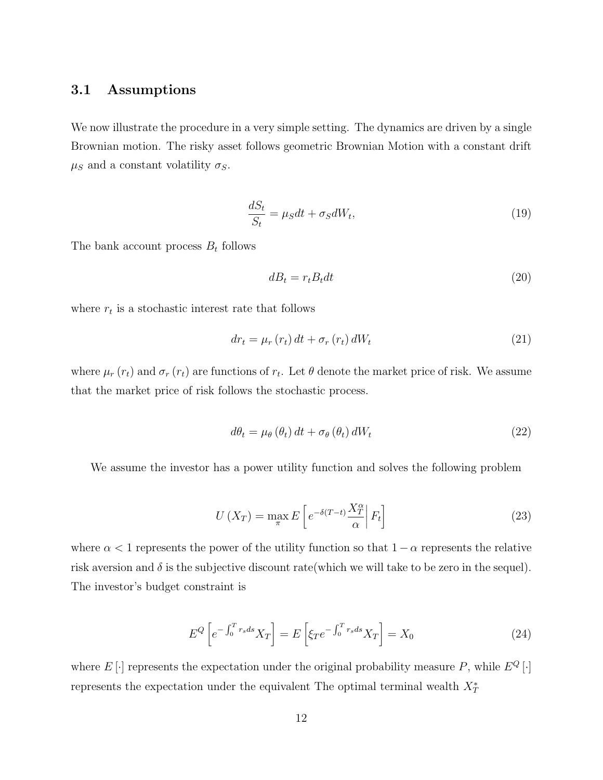#### 3.1 Assumptions

We now illustrate the procedure in a very simple setting. The dynamics are driven by a single Brownian motion. The risky asset follows geometric Brownian Motion with a constant drift  $\mu_S$  and a constant volatility  $\sigma_S$ .

$$
\frac{dS_t}{S_t} = \mu_S dt + \sigma_S dW_t,\tag{19}
$$

The bank account process  $B_t$  follows

$$
dB_t = r_t B_t dt \tag{20}
$$

where  $r_t$  is a stochastic interest rate that follows

$$
dr_{t} = \mu_{r}(r_{t}) dt + \sigma_{r}(r_{t}) dW_{t}
$$
\n(21)

where  $\mu_r(r_t)$  and  $\sigma_r(r_t)$  are functions of  $r_t$ . Let  $\theta$  denote the market price of risk. We assume that the market price of risk follows the stochastic process.

$$
d\theta_t = \mu_\theta \left(\theta_t\right) dt + \sigma_\theta \left(\theta_t\right) dW_t \tag{22}
$$

We assume the investor has a power utility function and solves the following problem

$$
U\left(X_T\right) = \max_{\pi} E\left[e^{-\delta(T-t)}\frac{X_T^{\alpha}}{\alpha}\middle|F_t\right]
$$
\n(23)

where  $\alpha < 1$  represents the power of the utility function so that  $1 - \alpha$  represents the relative risk aversion and  $\delta$  is the subjective discount rate (which we will take to be zero in the sequel). The investor's budget constraint is

$$
E^{Q}\left[e^{-\int_{0}^{T}r_{s}ds}X_{T}\right]=E\left[\xi_{T}e^{-\int_{0}^{T}r_{s}ds}X_{T}\right]=X_{0}
$$
\n(24)

where  $E[\cdot]$  represents the expectation under the original probability measure P, while  $E^Q[\cdot]$ represents the expectation under the equivalent The optimal terminal wealth  $X^*_T$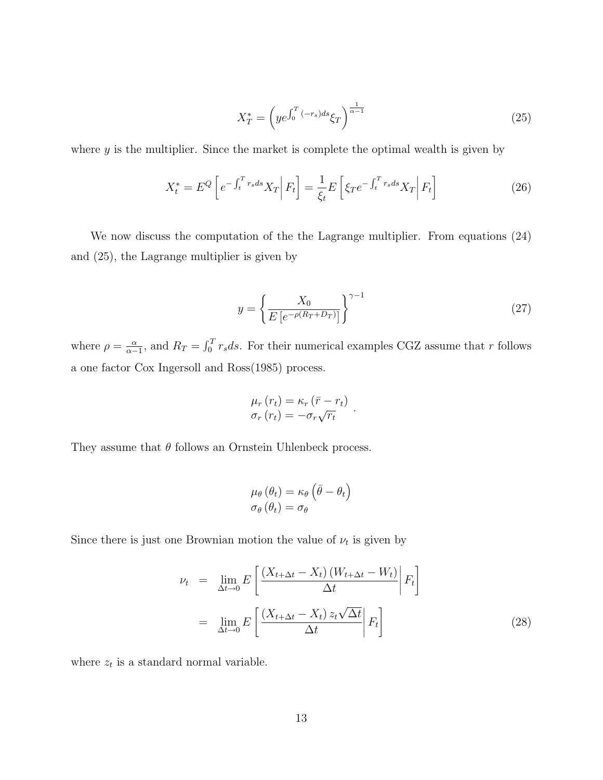$$
X_T^* = \left( y e^{\int_0^T (-r_s)ds} \xi_T \right)^{\frac{1}{\alpha - 1}} \tag{25}
$$

where  $y$  is the multiplier. Since the market is complete the optimal wealth is given by

$$
X_t^* = E^Q \left[ e^{-\int_t^T r_s ds} X_T \middle| F_t \right] = \frac{1}{\xi_t} E \left[ \xi_T e^{-\int_t^T r_s ds} X_T \middle| F_t \right]
$$
 (26)

We now discuss the computation of the the Lagrange multiplier. From equations (24) and (25), the Lagrange multiplier is given by

$$
y = \left\{ \frac{X_0}{E\left[e^{-\rho(R_T + D_T)}\right]} \right\}^{\gamma - 1} \tag{27}
$$

where  $\rho = \frac{\alpha}{\alpha}$  $\frac{\alpha}{\alpha-1}$ , and  $R_T = \int_0^T$  $C_0^T r_s ds$ . For their numerical examples CGZ assume that r follows a one factor Cox Ingersoll and Ross(1985) process.

$$
\mu_r(r_t) = \kappa_r (\bar{r} - r_t) \n\sigma_r(r_t) = -\sigma_r \sqrt{r_t} .
$$

They assume that  $\theta$  follows an Ornstein Uhlenbeck process.

$$
\mu_{\theta}(\theta_t) = \kappa_{\theta} (\bar{\theta} - \theta_t)
$$

$$
\sigma_{\theta}(\theta_t) = \sigma_{\theta}
$$

Since there is just one Brownian motion the value of  $\nu_t$  is given by

$$
\nu_{t} = \lim_{\Delta t \to 0} E\left[\frac{(X_{t+\Delta t} - X_{t})(W_{t+\Delta t} - W_{t})}{\Delta t}\middle| F_{t}\right]
$$

$$
= \lim_{\Delta t \to 0} E\left[\frac{(X_{t+\Delta t} - X_{t}) z_{t} \sqrt{\Delta t}}{\Delta t}\middle| F_{t}\right]
$$
(28)

where  $z_t$  is a standard normal variable.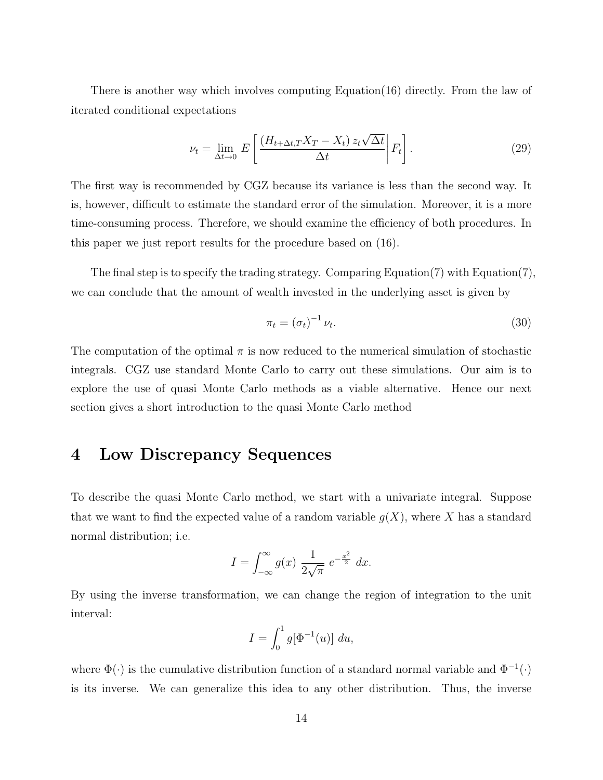There is another way which involves computing Equation(16) directly. From the law of iterated conditional expectations

$$
\nu_t = \lim_{\Delta t \to 0} E\left[ \frac{\left(H_{t+\Delta t, T} X_T - X_t\right) z_t \sqrt{\Delta t}}{\Delta t} \middle| F_t \right]. \tag{29}
$$

The first way is recommended by CGZ because its variance is less than the second way. It is, however, difficult to estimate the standard error of the simulation. Moreover, it is a more time-consuming process. Therefore, we should examine the efficiency of both procedures. In this paper we just report results for the procedure based on (16).

The final step is to specify the trading strategy. Comparing Equation(7) with Equation(7), we can conclude that the amount of wealth invested in the underlying asset is given by

$$
\pi_t = \left(\sigma_t\right)^{-1} \nu_t. \tag{30}
$$

The computation of the optimal  $\pi$  is now reduced to the numerical simulation of stochastic integrals. CGZ use standard Monte Carlo to carry out these simulations. Our aim is to explore the use of quasi Monte Carlo methods as a viable alternative. Hence our next section gives a short introduction to the quasi Monte Carlo method

### 4 Low Discrepancy Sequences

To describe the quasi Monte Carlo method, we start with a univariate integral. Suppose that we want to find the expected value of a random variable  $q(X)$ , where X has a standard normal distribution; i.e.

$$
I = \int_{-\infty}^{\infty} g(x) \, \frac{1}{2\sqrt{\pi}} \, e^{-\frac{x^2}{2}} \, dx.
$$

By using the inverse transformation, we can change the region of integration to the unit interval:

$$
I = \int_0^1 g[\Phi^{-1}(u)] du,
$$

where  $\Phi(\cdot)$  is the cumulative distribution function of a standard normal variable and  $\Phi^{-1}(\cdot)$ is its inverse. We can generalize this idea to any other distribution. Thus, the inverse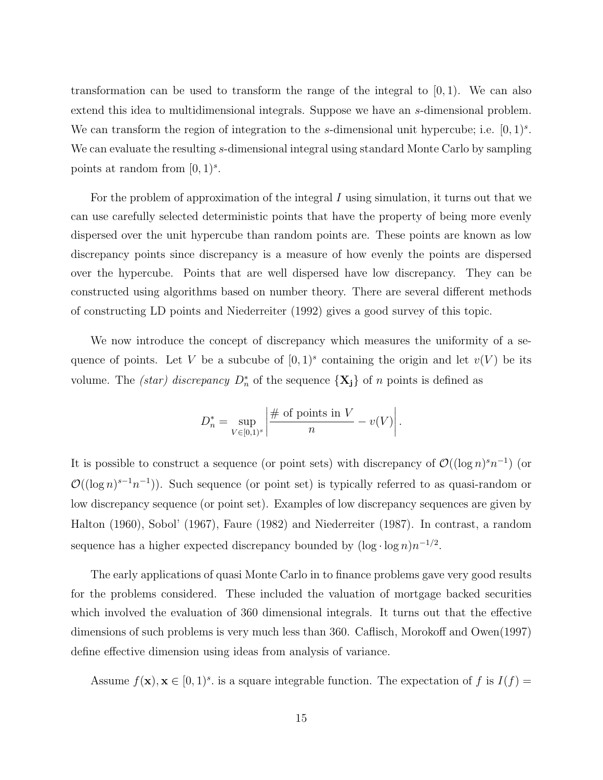transformation can be used to transform the range of the integral to  $[0, 1)$ . We can also extend this idea to multidimensional integrals. Suppose we have an s-dimensional problem. We can transform the region of integration to the s-dimensional unit hypercube; i.e.  $[0,1)^s$ . We can evaluate the resulting s-dimensional integral using standard Monte Carlo by sampling points at random from  $[0, 1)^s$ .

For the problem of approximation of the integral  $I$  using simulation, it turns out that we can use carefully selected deterministic points that have the property of being more evenly dispersed over the unit hypercube than random points are. These points are known as low discrepancy points since discrepancy is a measure of how evenly the points are dispersed over the hypercube. Points that are well dispersed have low discrepancy. They can be constructed using algorithms based on number theory. There are several different methods of constructing LD points and Niederreiter (1992) gives a good survey of this topic.

We now introduce the concept of discrepancy which measures the uniformity of a sequence of points. Let V be a subcube of  $[0,1)^s$  containing the origin and let  $v(V)$  be its volume. The *(star)* discrepancy  $D_n^*$  of the sequence  $\{X_j\}$  of n points is defined as

$$
D_n^* = \sup_{V \in [0,1)^s} \left| \frac{\text{# of points in } V}{n} - v(V) \right|.
$$

It is possible to construct a sequence (or point sets) with discrepancy of  $\mathcal{O}((\log n)^s n^{-1})$  (or  $\mathcal{O}((\log n)^{s-1}n^{-1})$ ). Such sequence (or point set) is typically referred to as quasi-random or low discrepancy sequence (or point set). Examples of low discrepancy sequences are given by Halton (1960), Sobol' (1967), Faure (1982) and Niederreiter (1987). In contrast, a random sequence has a higher expected discrepancy bounded by  $(\log \cdot \log n)n^{-1/2}$ .

The early applications of quasi Monte Carlo in to finance problems gave very good results for the problems considered. These included the valuation of mortgage backed securities which involved the evaluation of 360 dimensional integrals. It turns out that the effective dimensions of such problems is very much less than 360. Caflisch, Morokoff and Owen(1997) define effective dimension using ideas from analysis of variance.

Assume  $f(\mathbf{x}), \mathbf{x} \in [0, 1)^s$  is a square integrable function. The expectation of f is  $I(f)$  =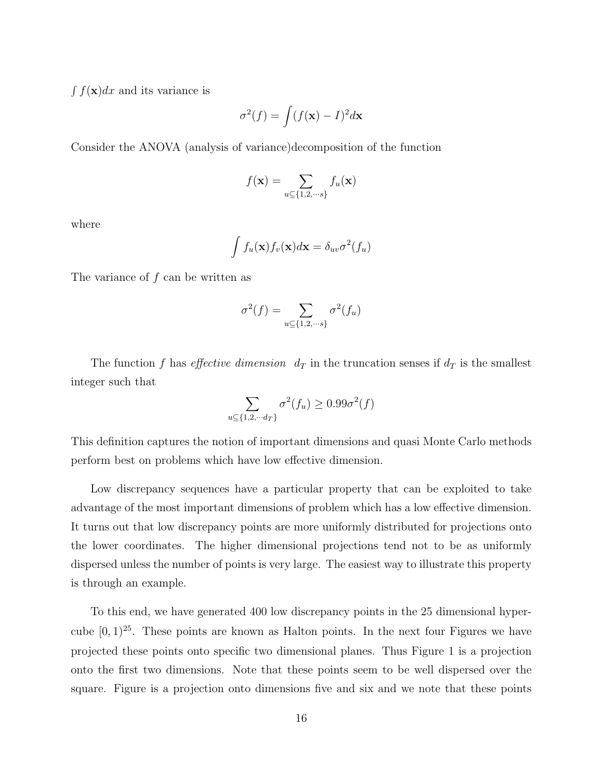$\int f(\mathbf{x})dx$  and its variance is

$$
\sigma^2(f) = \int (f(\mathbf{x}) - I)^2 d\mathbf{x}
$$

Consider the ANOVA (analysis of variance)decomposition of the function

$$
f(\mathbf{x}) = \sum_{u \subseteq \{1, 2, \cdots s\}} f_u(\mathbf{x})
$$

where

$$
\int f_u(\mathbf{x}) f_v(\mathbf{x}) d\mathbf{x} = \delta_{uv} \sigma^2(f_u)
$$

The variance of f can be written as

$$
\sigma^2(f) = \sum_{u \subseteq \{1,2,\cdots,s\}} \sigma^2(f_u)
$$

The function f has effective dimension  $d_T$  in the truncation senses if  $d_T$  is the smallest integer such that

$$
\sum_{u \subseteq \{1,2,\cdots d_T\}} \sigma^2(f_u) \ge 0.99\sigma^2(f)
$$

This definition captures the notion of important dimensions and quasi Monte Carlo methods perform best on problems which have low effective dimension.

Low discrepancy sequences have a particular property that can be exploited to take advantage of the most important dimensions of problem which has a low effective dimension. It turns out that low discrepancy points are more uniformly distributed for projections onto the lower coordinates. The higher dimensional projections tend not to be as uniformly dispersed unless the number of points is very large. The easiest way to illustrate this property is through an example.

To this end, we have generated 400 low discrepancy points in the 25 dimensional hypercube  $[0, 1)^{25}$ . These points are known as Halton points. In the next four Figures we have projected these points onto specific two dimensional planes. Thus Figure 1 is a projection onto the first two dimensions. Note that these points seem to be well dispersed over the square. Figure is a projection onto dimensions five and six and we note that these points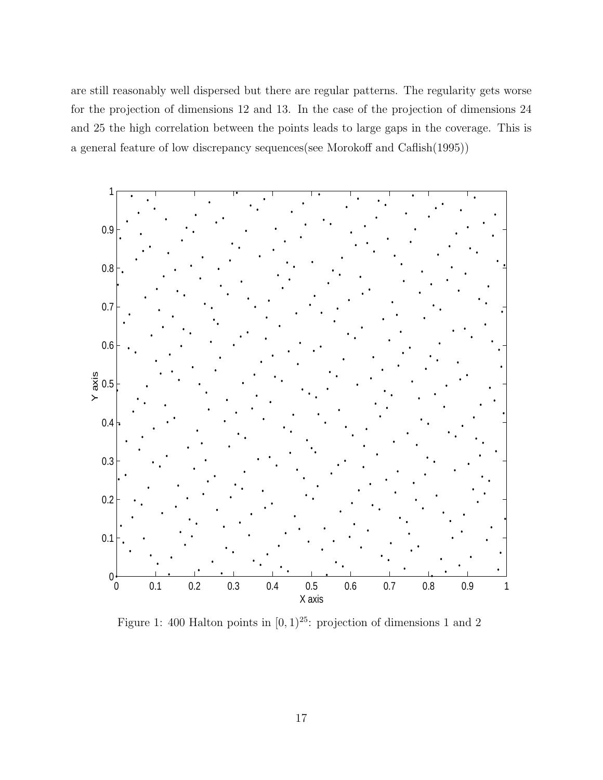are still reasonably well dispersed but there are regular patterns. The regularity gets worse for the projection of dimensions 12 and 13. In the case of the projection of dimensions 24 and 25 the high correlation between the points leads to large gaps in the coverage. This is a general feature of low discrepancy sequences(see Morokoff and Caflish(1995))



Figure 1: 400 Halton points in  $[0, 1)^{25}$ : projection of dimensions 1 and 2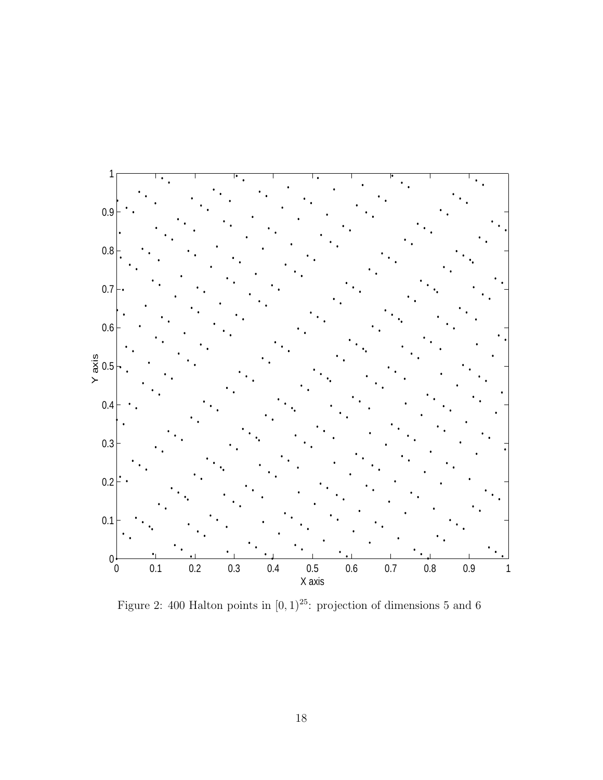

Figure 2: 400 Halton points in  $[0, 1)^{25}$ : projection of dimensions 5 and 6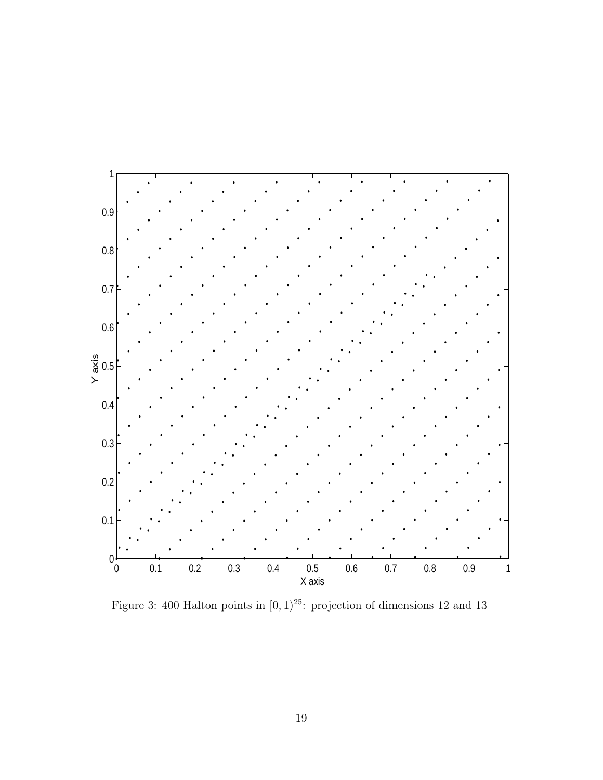

Figure 3: 400 Halton points in  $[0, 1)^{25}$ : projection of dimensions 12 and 13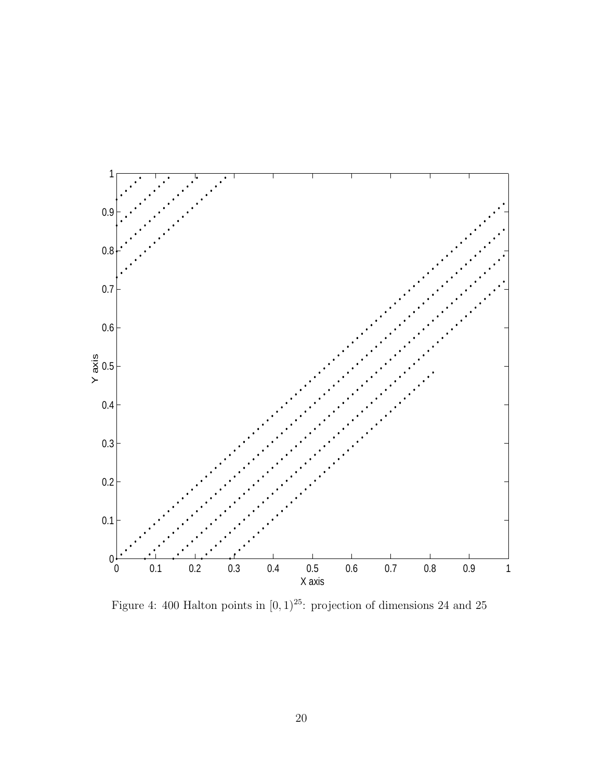

Figure 4: 400 Halton points in  $[0, 1)^{25}$ : projection of dimensions 24 and 25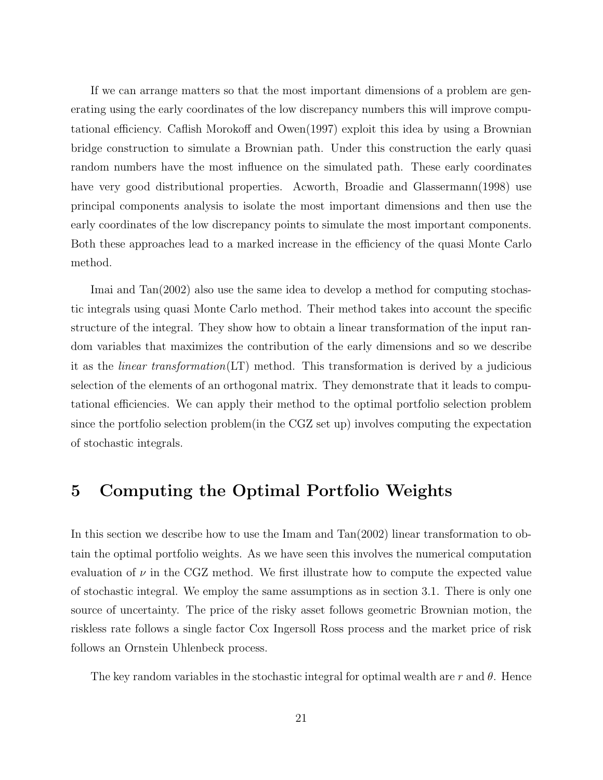If we can arrange matters so that the most important dimensions of a problem are generating using the early coordinates of the low discrepancy numbers this will improve computational efficiency. Caflish Morokoff and Owen(1997) exploit this idea by using a Brownian bridge construction to simulate a Brownian path. Under this construction the early quasi random numbers have the most influence on the simulated path. These early coordinates have very good distributional properties. Acworth, Broadie and Glassermann(1998) use principal components analysis to isolate the most important dimensions and then use the early coordinates of the low discrepancy points to simulate the most important components. Both these approaches lead to a marked increase in the efficiency of the quasi Monte Carlo method.

Imai and Tan(2002) also use the same idea to develop a method for computing stochastic integrals using quasi Monte Carlo method. Their method takes into account the specific structure of the integral. They show how to obtain a linear transformation of the input random variables that maximizes the contribution of the early dimensions and so we describe it as the *linear transformation*(LT) method. This transformation is derived by a judicious selection of the elements of an orthogonal matrix. They demonstrate that it leads to computational efficiencies. We can apply their method to the optimal portfolio selection problem since the portfolio selection problem(in the CGZ set up) involves computing the expectation of stochastic integrals.

## 5 Computing the Optimal Portfolio Weights

In this section we describe how to use the Imam and Tan(2002) linear transformation to obtain the optimal portfolio weights. As we have seen this involves the numerical computation evaluation of  $\nu$  in the CGZ method. We first illustrate how to compute the expected value of stochastic integral. We employ the same assumptions as in section 3.1. There is only one source of uncertainty. The price of the risky asset follows geometric Brownian motion, the riskless rate follows a single factor Cox Ingersoll Ross process and the market price of risk follows an Ornstein Uhlenbeck process.

The key random variables in the stochastic integral for optimal wealth are r and  $\theta$ . Hence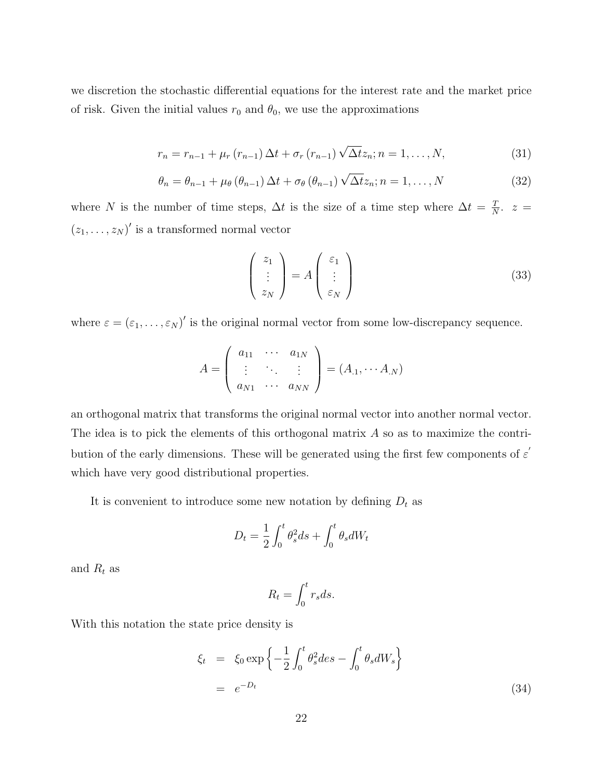we discretion the stochastic differential equations for the interest rate and the market price of risk. Given the initial values  $r_0$  and  $\theta_0$ , we use the approximations

$$
r_n = r_{n-1} + \mu_r (r_{n-1}) \Delta t + \sigma_r (r_{n-1}) \sqrt{\Delta t} z_n; n = 1, ..., N,
$$
\n(31)

$$
\theta_n = \theta_{n-1} + \mu_\theta \left( \theta_{n-1} \right) \Delta t + \sigma_\theta \left( \theta_{n-1} \right) \sqrt{\Delta t} z_n; n = 1, \dots, N \tag{32}
$$

where N is the number of time steps,  $\Delta t$  is the size of a time step where  $\Delta t = \frac{T}{\Delta t}$  $\frac{T}{N}$ .  $z =$  $(z_1, \ldots, z_N)'$  is a transformed normal vector

$$
\begin{pmatrix} z_1 \\ \vdots \\ z_N \end{pmatrix} = A \begin{pmatrix} \varepsilon_1 \\ \vdots \\ \varepsilon_N \end{pmatrix}
$$
 (33)

where  $\varepsilon = (\varepsilon_1, \ldots, \varepsilon_N)'$  is the original normal vector from some low-discrepancy sequence.

$$
A = \left(\begin{array}{ccc} a_{11} & \cdots & a_{1N} \\ \vdots & \ddots & \vdots \\ a_{N1} & \cdots & a_{NN} \end{array}\right) = (A_{.1}, \cdots A_{.N})
$$

an orthogonal matrix that transforms the original normal vector into another normal vector. The idea is to pick the elements of this orthogonal matrix  $A$  so as to maximize the contribution of the early dimensions. These will be generated using the first few components of  $\varepsilon'$ which have very good distributional properties.

It is convenient to introduce some new notation by defining  $D_t$  as

$$
D_t = \frac{1}{2} \int_0^t \theta_s^2 ds + \int_0^t \theta_s dW_t
$$

and  $R_t$  as

$$
R_t = \int_0^t r_s ds.
$$

With this notation the state price density is

$$
\xi_t = \xi_0 \exp\left\{-\frac{1}{2} \int_0^t \theta_s^2 ds - \int_0^t \theta_s dW_s\right\}
$$
  
=  $e^{-D_t}$  (34)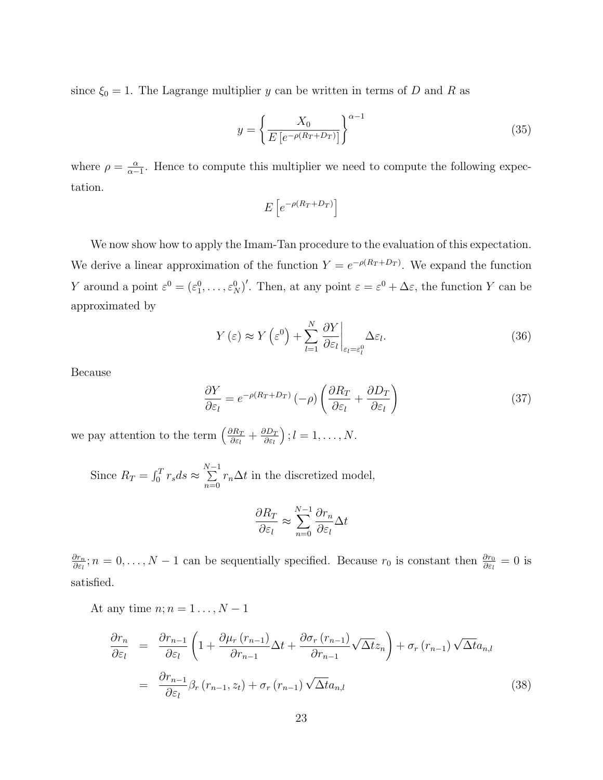since  $\xi_0 = 1$ . The Lagrange multiplier y can be written in terms of D and R as

$$
y = \left\{ \frac{X_0}{E\left[e^{-\rho(R_T + D_T)}\right]} \right\}^{\alpha - 1} \tag{35}
$$

where  $\rho = \frac{\alpha}{\alpha}$  $\frac{\alpha}{\alpha-1}$ . Hence to compute this multiplier we need to compute the following expectation.

$$
E\left[e^{-\rho(R_T+D_T)}\right]
$$

We now show how to apply the Imam-Tan procedure to the evaluation of this expectation. We derive a linear approximation of the function  $Y = e^{-\rho(R_T + D_T)}$ . We expand the function Y around a point  $\varepsilon^0 = (\varepsilon_1^0, \ldots, \varepsilon_N^0)'$ . Then, at any point  $\varepsilon = \varepsilon^0 + \Delta \varepsilon$ , the function Y can be approximated by

$$
Y(\varepsilon) \approx Y(\varepsilon^0) + \sum_{l=1}^{N} \frac{\partial Y}{\partial \varepsilon_l} \bigg|_{\varepsilon_l = \varepsilon_l^0} \Delta \varepsilon_l.
$$
 (36)

Because

$$
\frac{\partial Y}{\partial \varepsilon_l} = e^{-\rho (R_T + D_T)} \left( -\rho \right) \left( \frac{\partial R_T}{\partial \varepsilon_l} + \frac{\partial D_T}{\partial \varepsilon_l} \right) \tag{37}
$$

we pay attention to the term  $\left(\frac{\partial R_T}{\partial \zeta}\right)$  $\frac{\partial R_T}{\partial \varepsilon_l} + \frac{\partial D_T}{\partial \varepsilon_l}$ ∂ε<sup>l</sup> ´  $; l = 1, \ldots, N.$ 

Since  $R_T = \int_0^T$  $r_s ds \approx \sum_{n=1}^{N-1}$  $\sum_{n=0} r_n \Delta t$  in the discretized model,

$$
\frac{\partial R_T}{\partial \varepsilon_l} \approx \sum_{n=0}^{N-1} \frac{\partial r_n}{\partial \varepsilon_l} \Delta t
$$

∂r<sup>n</sup>  $\frac{\partial r_n}{\partial \varepsilon_l}; n = 0, \ldots, N-1$  can be sequentially specified. Because  $r_0$  is constant then  $\frac{\partial r_0}{\partial \varepsilon_l} = 0$  is satisfied.

At any time  $n; n = 1 \ldots, N - 1$ 

$$
\frac{\partial r_n}{\partial \varepsilon_l} = \frac{\partial r_{n-1}}{\partial \varepsilon_l} \left( 1 + \frac{\partial \mu_r (r_{n-1})}{\partial r_{n-1}} \Delta t + \frac{\partial \sigma_r (r_{n-1})}{\partial r_{n-1}} \sqrt{\Delta t} z_n \right) + \sigma_r (r_{n-1}) \sqrt{\Delta t} a_{n,l}
$$
\n
$$
= \frac{\partial r_{n-1}}{\partial \varepsilon_l} \beta_r (r_{n-1}, z_t) + \sigma_r (r_{n-1}) \sqrt{\Delta t} a_{n,l} \tag{38}
$$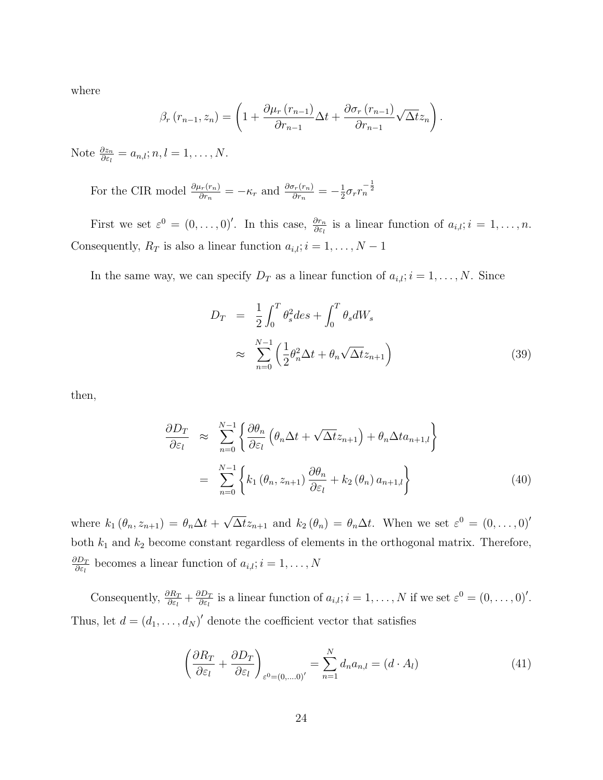where

$$
\beta_r(r_{n-1}, z_n) = \left(1 + \frac{\partial \mu_r(r_{n-1})}{\partial r_{n-1}} \Delta t + \frac{\partial \sigma_r(r_{n-1})}{\partial r_{n-1}} \sqrt{\Delta t} z_n\right).
$$

Note  $\frac{\partial z_n}{\partial \varepsilon_l} = a_{n,l}; n, l = 1, \ldots, N$ .

For the CIR model  $\frac{\partial \mu_r(r_n)}{\partial r_n} = -\kappa_r$  and  $\frac{\partial \sigma_r(r_n)}{\partial r_n} = -\frac{1}{2}$  $\frac{1}{2}\sigma_r r_n^{-\frac{1}{2}}$ 

First we set  $\varepsilon^0 = (0, \ldots, 0)'$ . In this case,  $\frac{\partial r_n}{\partial \varepsilon_l}$  is a linear function of  $a_{i,l}; i = 1, \ldots, n$ . Consequently,  $R_T$  is also a linear function  $a_{i,l}; i = 1, \ldots, N - 1$ 

In the same way, we can specify  $D_T$  as a linear function of  $a_{i,l}$ ;  $i = 1, \ldots, N$ . Since

$$
D_T = \frac{1}{2} \int_0^T \theta_s^2 ds + \int_0^T \theta_s dW_s
$$
  

$$
\approx \sum_{n=0}^{N-1} \left( \frac{1}{2} \theta_n^2 \Delta t + \theta_n \sqrt{\Delta t} z_{n+1} \right)
$$
(39)

then,

$$
\frac{\partial D_T}{\partial \varepsilon_l} \approx \sum_{n=0}^{N-1} \left\{ \frac{\partial \theta_n}{\partial \varepsilon_l} \left( \theta_n \Delta t + \sqrt{\Delta t} z_{n+1} \right) + \theta_n \Delta t a_{n+1,l} \right\}
$$
\n
$$
= \sum_{n=0}^{N-1} \left\{ k_1 \left( \theta_n, z_{n+1} \right) \frac{\partial \theta_n}{\partial \varepsilon_l} + k_2 \left( \theta_n \right) a_{n+1,l} \right\} \tag{40}
$$

where  $k_1(\theta_n, z_{n+1}) = \theta_n \Delta t +$ √  $\overline{\Delta t}z_{n+1}$  and  $k_2(\theta_n) = \theta_n \Delta t$ . When we set  $\varepsilon^0 = (0,\ldots,0)^t$ both  $k_1$  and  $k_2$  become constant regardless of elements in the orthogonal matrix. Therefore,  $\partial D_{T}$  $\frac{\partial D_T}{\partial \varepsilon_l}$  becomes a linear function of  $a_{i,l}; i = 1, \ldots, N$ 

Consequently,  $\frac{\partial R_T}{\partial \varepsilon_l} + \frac{\partial D_T}{\partial \varepsilon_l}$  $\frac{\partial D_T}{\partial \varepsilon_l}$  is a linear function of  $a_{i,l}$ ;  $i = 1, ..., N$  if we set  $\varepsilon^0 = (0, ..., 0)^l$ . Thus, let  $d = (d_1, \ldots, d_N)'$  denote the coefficient vector that satisfies

$$
\left(\frac{\partial R_T}{\partial \varepsilon_l} + \frac{\partial D_T}{\partial \varepsilon_l}\right)_{\varepsilon^0 = (0,\dots,0)'} = \sum_{n=1}^N d_n a_{n,l} = (d \cdot A_l)
$$
\n(41)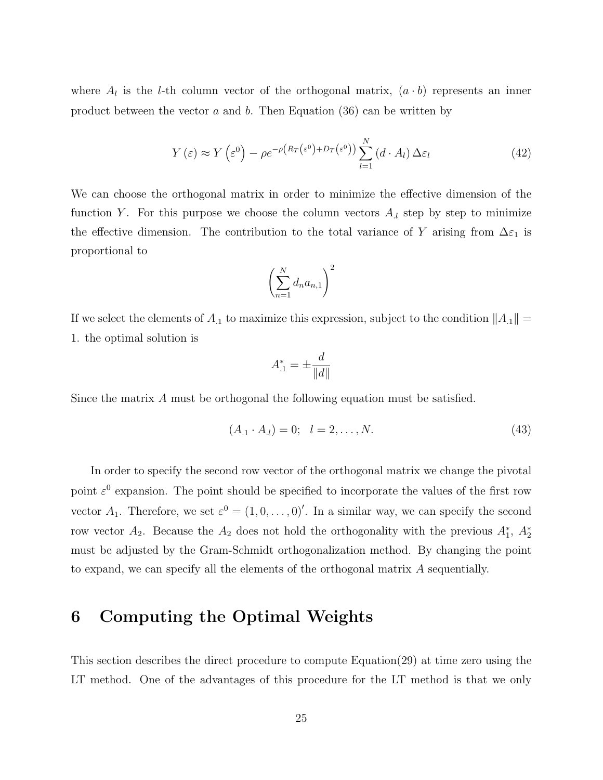where  $A_l$  is the *l*-th column vector of the orthogonal matrix,  $(a \cdot b)$  represents an inner product between the vector  $a$  and  $b$ . Then Equation (36) can be written by

$$
Y(\varepsilon) \approx Y(\varepsilon^0) - \rho e^{-\rho \left(R_T(\varepsilon^0) + D_T(\varepsilon^0)\right)} \sum_{l=1}^N (d \cdot A_l) \Delta \varepsilon_l \tag{42}
$$

We can choose the orthogonal matrix in order to minimize the effective dimension of the function Y. For this purpose we choose the column vectors  $A<sub>l</sub>$  step by step to minimize the effective dimension. The contribution to the total variance of Y arising from  $\Delta \varepsilon_1$  is proportional to

$$
\left(\sum_{n=1}^N d_n a_{n,1}\right)^2
$$

If we select the elements of  $A_1$  to maximize this expression, subject to the condition  $||A_1|| =$ 1. the optimal solution is

$$
A_{.1}^*=\pm\frac{d}{\|d\|}
$$

Since the matrix A must be orthogonal the following equation must be satisfied.

$$
(A_1 \cdot A_l) = 0; \quad l = 2, \dots, N. \tag{43}
$$

In order to specify the second row vector of the orthogonal matrix we change the pivotal point  $\varepsilon^0$  expansion. The point should be specified to incorporate the values of the first row vector  $A_1$ . Therefore, we set  $\varepsilon^0 = (1, 0, \ldots, 0)'$ . In a similar way, we can specify the second row vector  $A_2$ . Because the  $A_2$  does not hold the orthogonality with the previous  $A_1^*$ ,  $A_2^*$ must be adjusted by the Gram-Schmidt orthogonalization method. By changing the point to expand, we can specify all the elements of the orthogonal matrix A sequentially.

### 6 Computing the Optimal Weights

This section describes the direct procedure to compute Equation(29) at time zero using the LT method. One of the advantages of this procedure for the LT method is that we only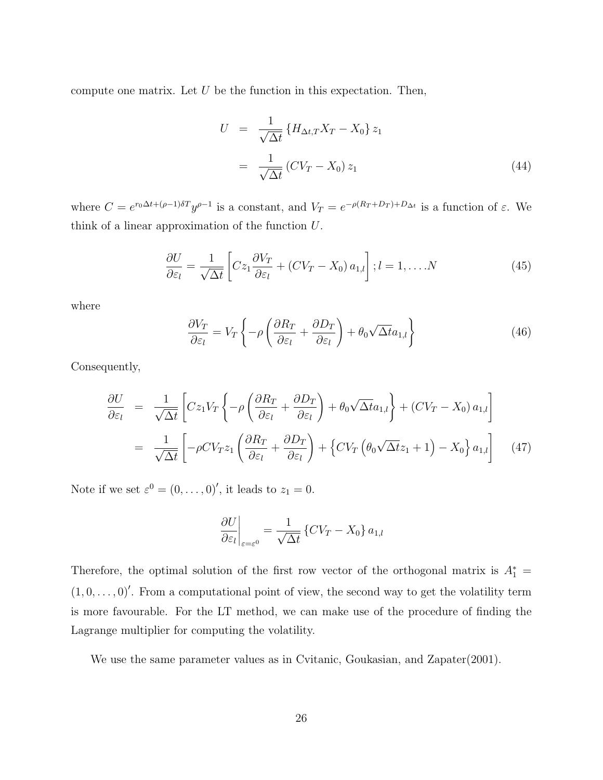compute one matrix. Let  $U$  be the function in this expectation. Then,

$$
U = \frac{1}{\sqrt{\Delta t}} \left\{ H_{\Delta t, T} X_T - X_0 \right\} z_1
$$

$$
= \frac{1}{\sqrt{\Delta t}} \left( C V_T - X_0 \right) z_1 \tag{44}
$$

where  $C = e^{r_0\Delta t + (\rho - 1)\delta T} y^{\rho - 1}$  is a constant, and  $V_T = e^{-\rho(R_T + D_T) + D_{\Delta t}}$  is a function of  $\varepsilon$ . We think of a linear approximation of the function U.

$$
\frac{\partial U}{\partial \varepsilon_l} = \frac{1}{\sqrt{\Delta t}} \left[ C z_1 \frac{\partial V_T}{\partial \varepsilon_l} + (CV_T - X_0) a_{1,l} \right]; l = 1, \dots, N \tag{45}
$$

where

$$
\frac{\partial V_T}{\partial \varepsilon_l} = V_T \left\{ -\rho \left( \frac{\partial R_T}{\partial \varepsilon_l} + \frac{\partial D_T}{\partial \varepsilon_l} \right) + \theta_0 \sqrt{\Delta t} a_{1,l} \right\} \tag{46}
$$

Consequently,

$$
\frac{\partial U}{\partial \varepsilon_l} = \frac{1}{\sqrt{\Delta t}} \left[ C z_1 V_T \left\{ -\rho \left( \frac{\partial R_T}{\partial \varepsilon_l} + \frac{\partial D_T}{\partial \varepsilon_l} \right) + \theta_0 \sqrt{\Delta t} a_{1,l} \right\} + (CV_T - X_0) a_{1,l} \right]
$$
\n
$$
= \frac{1}{\sqrt{\Delta t}} \left[ -\rho CV_T z_1 \left( \frac{\partial R_T}{\partial \varepsilon_l} + \frac{\partial D_T}{\partial \varepsilon_l} \right) + \left\{ CV_T \left( \theta_0 \sqrt{\Delta t} z_1 + 1 \right) - X_0 \right\} a_{1,l} \right] \tag{47}
$$

Note if we set  $\varepsilon^0 = (0, \ldots, 0)'$ , it leads to  $z_1 = 0$ .

$$
\left. \frac{\partial U}{\partial \varepsilon_l} \right|_{\varepsilon = \varepsilon^0} = \frac{1}{\sqrt{\Delta t}} \left\{ C V_T - X_0 \right\} a_{1,l}
$$

Therefore, the optimal solution of the first row vector of the orthogonal matrix is  $A_1^* =$  $(1, 0, \ldots, 0)'$ . From a computational point of view, the second way to get the volatility term is more favourable. For the LT method, we can make use of the procedure of finding the Lagrange multiplier for computing the volatility.

We use the same parameter values as in Cvitanic, Goukasian, and Zapater(2001).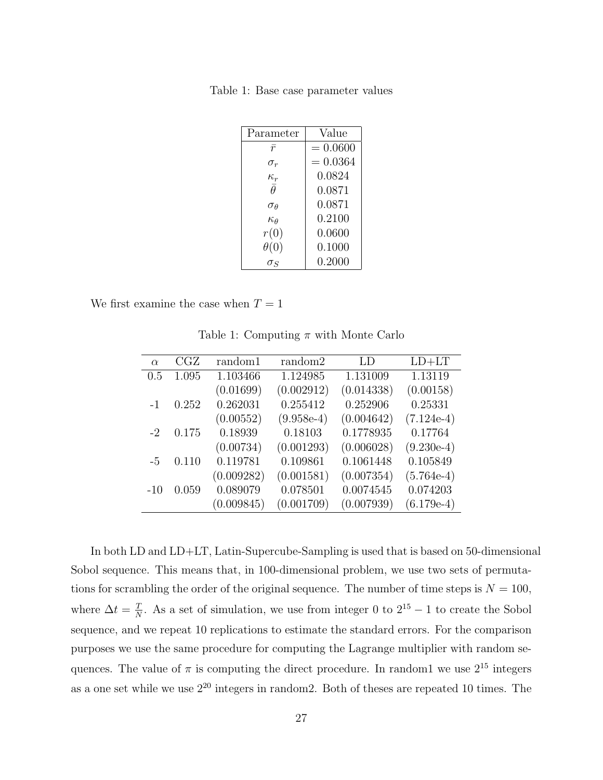Table 1: Base case parameter values

| Parameter                       | Value      |  |  |
|---------------------------------|------------|--|--|
| $\bar{r}$                       | $= 0.0600$ |  |  |
| $\sigma_r$                      | $= 0.0364$ |  |  |
| $\frac{\kappa_r}{\bar{\theta}}$ | 0.0824     |  |  |
|                                 | 0.0871     |  |  |
| $\sigma$ A                      | 0.0871     |  |  |
| $\kappa_{\theta}$               | 0.2100     |  |  |
| r(0)                            | 0.0600     |  |  |
| $\theta(0)$                     | 0.1000     |  |  |
|                                 | 0.2000     |  |  |

We first examine the case when  $T = 1$ 

| $\alpha$ | CGZ   | random1    | random2      | LD         | $LD+LT$      |
|----------|-------|------------|--------------|------------|--------------|
| 0.5      | 1.095 | 1.103466   | 1.124985     | 1.131009   | 1.13119      |
|          |       | (0.01699)  | (0.002912)   | (0.014338) | (0.00158)    |
| $-1$     | 0.252 | 0.262031   | 0.255412     | 0.252906   | 0.25331      |
|          |       | (0.00552)  | $(9.958e-4)$ | (0.004642) | $(7.124e-4)$ |
| $-2$     | 0.175 | 0.18939    | 0.18103      | 0.1778935  | 0.17764      |
|          |       | (0.00734)  | (0.001293)   | (0.006028) | $(9.230e-4)$ |
| $-5$     | 0.110 | 0.119781   | 0.109861     | 0.1061448  | 0.105849     |
|          |       | (0.009282) | (0.001581)   | (0.007354) | $(5.764e-4)$ |
| $-10$    | 0.059 | 0.089079   | 0.078501     | 0.0074545  | 0.074203     |
|          |       | (0.009845) | (0.001709)   | (0.007939) | $(6.179e-4)$ |

Table 1: Computing  $\pi$  with Monte Carlo

In both LD and LD+LT, Latin-Supercube-Sampling is used that is based on 50-dimensional Sobol sequence. This means that, in 100-dimensional problem, we use two sets of permutations for scrambling the order of the original sequence. The number of time steps is  $N = 100$ , where  $\Delta t = \frac{T}{\Delta t}$  $\frac{T}{N}$ . As a set of simulation, we use from integer 0 to  $2^{15} - 1$  to create the Sobol sequence, and we repeat 10 replications to estimate the standard errors. For the comparison purposes we use the same procedure for computing the Lagrange multiplier with random sequences. The value of  $\pi$  is computing the direct procedure. In random1 we use  $2^{15}$  integers as a one set while we use 2<sup>20</sup> integers in random2. Both of theses are repeated 10 times. The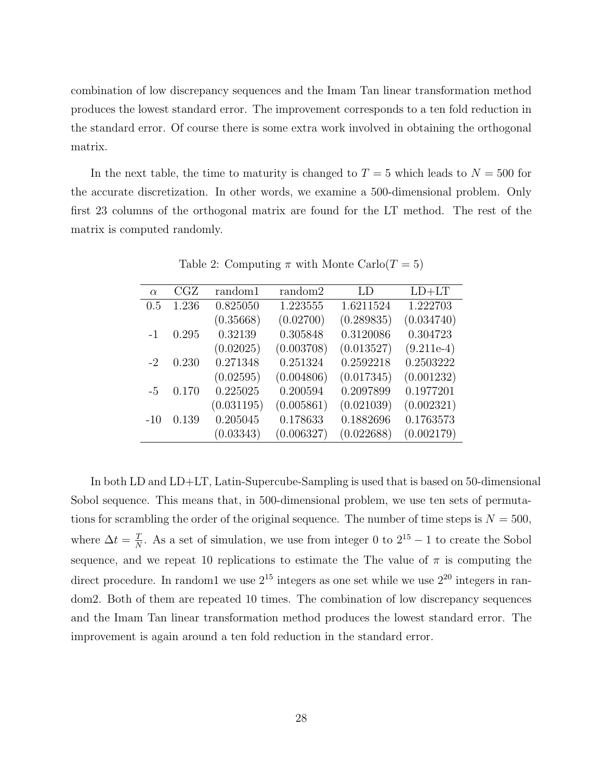combination of low discrepancy sequences and the Imam Tan linear transformation method produces the lowest standard error. The improvement corresponds to a ten fold reduction in the standard error. Of course there is some extra work involved in obtaining the orthogonal matrix.

In the next table, the time to maturity is changed to  $T = 5$  which leads to  $N = 500$  for the accurate discretization. In other words, we examine a 500-dimensional problem. Only first 23 columns of the orthogonal matrix are found for the LT method. The rest of the matrix is computed randomly.

| $\alpha$ | CGZ   | random1    | random2    | LD         | $LD+LT$      |
|----------|-------|------------|------------|------------|--------------|
| 0.5      | 1.236 | 0.825050   | 1.223555   | 1.6211524  | 1.222703     |
|          |       | (0.35668)  | (0.02700)  | (0.289835) | (0.034740)   |
| $-1$     | 0.295 | 0.32139    | 0.305848   | 0.3120086  | 0.304723     |
|          |       | (0.02025)  | (0.003708) | (0.013527) | $(9.211e-4)$ |
| $-2$     | 0.230 | 0.271348   | 0.251324   | 0.2592218  | 0.2503222    |
|          |       | (0.02595)  | (0.004806) | (0.017345) | (0.001232)   |
| $-5$     | 0.170 | 0.225025   | 0.200594   | 0.2097899  | 0.1977201    |
|          |       | (0.031195) | (0.005861) | (0.021039) | (0.002321)   |
| $-10$    | 0.139 | 0.205045   | 0.178633   | 0.1882696  | 0.1763573    |
|          |       | (0.03343)  | (0.006327) | (0.022688) | (0.002179)   |

Table 2: Computing  $\pi$  with Monte Carlo $(T = 5)$ 

In both LD and LD+LT, Latin-Supercube-Sampling is used that is based on 50-dimensional Sobol sequence. This means that, in 500-dimensional problem, we use ten sets of permutations for scrambling the order of the original sequence. The number of time steps is  $N = 500$ , where  $\Delta t = \frac{T}{\Delta t}$  $\frac{T}{N}$ . As a set of simulation, we use from integer 0 to  $2^{15} - 1$  to create the Sobol sequence, and we repeat 10 replications to estimate the The value of  $\pi$  is computing the direct procedure. In random1 we use  $2^{15}$  integers as one set while we use  $2^{20}$  integers in random2. Both of them are repeated 10 times. The combination of low discrepancy sequences and the Imam Tan linear transformation method produces the lowest standard error. The improvement is again around a ten fold reduction in the standard error.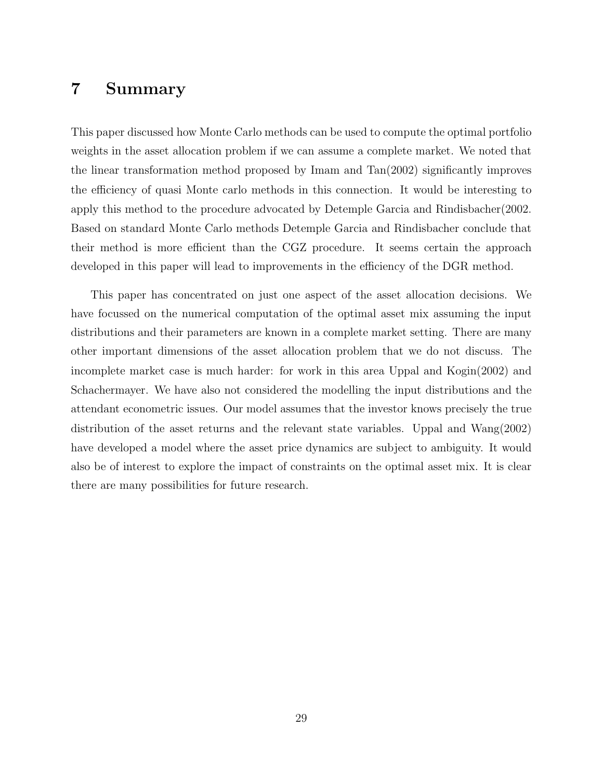#### 7 Summary

This paper discussed how Monte Carlo methods can be used to compute the optimal portfolio weights in the asset allocation problem if we can assume a complete market. We noted that the linear transformation method proposed by Imam and Tan(2002) significantly improves the efficiency of quasi Monte carlo methods in this connection. It would be interesting to apply this method to the procedure advocated by Detemple Garcia and Rindisbacher(2002. Based on standard Monte Carlo methods Detemple Garcia and Rindisbacher conclude that their method is more efficient than the CGZ procedure. It seems certain the approach developed in this paper will lead to improvements in the efficiency of the DGR method.

This paper has concentrated on just one aspect of the asset allocation decisions. We have focussed on the numerical computation of the optimal asset mix assuming the input distributions and their parameters are known in a complete market setting. There are many other important dimensions of the asset allocation problem that we do not discuss. The incomplete market case is much harder: for work in this area Uppal and Kogin(2002) and Schachermayer. We have also not considered the modelling the input distributions and the attendant econometric issues. Our model assumes that the investor knows precisely the true distribution of the asset returns and the relevant state variables. Uppal and Wang(2002) have developed a model where the asset price dynamics are subject to ambiguity. It would also be of interest to explore the impact of constraints on the optimal asset mix. It is clear there are many possibilities for future research.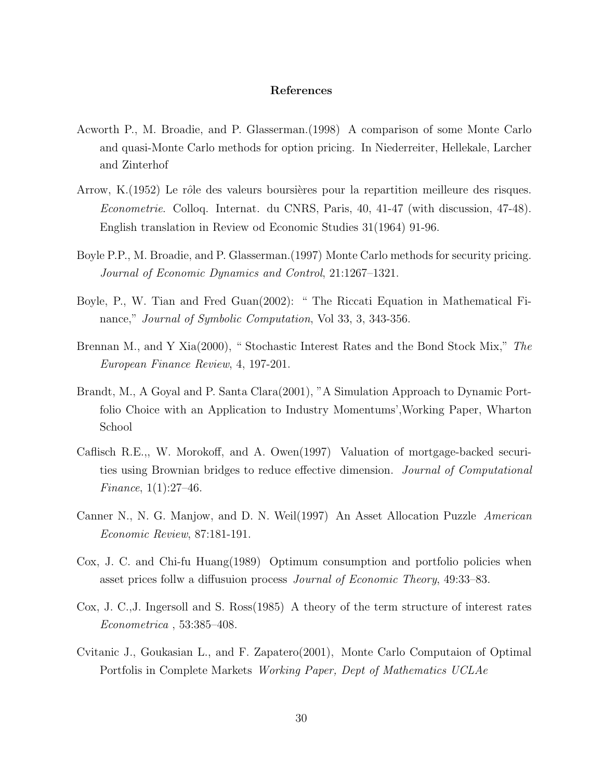#### References

- Acworth P., M. Broadie, and P. Glasserman.(1998) A comparison of some Monte Carlo and quasi-Monte Carlo methods for option pricing. In Niederreiter, Hellekale, Larcher and Zinterhof
- Arrow, K.(1952) Le rôle des valeurs boursières pour la repartition meilleure des risques. Econometrie. Colloq. Internat. du CNRS, Paris, 40, 41-47 (with discussion, 47-48). English translation in Review od Economic Studies 31(1964) 91-96.
- Boyle P.P., M. Broadie, and P. Glasserman.(1997) Monte Carlo methods for security pricing. Journal of Economic Dynamics and Control, 21:1267–1321.
- Boyle, P., W. Tian and Fred Guan(2002): " The Riccati Equation in Mathematical Finance," *Journal of Symbolic Computation*, Vol 33, 3, 343-356.
- Brennan M., and Y Xia(2000), " Stochastic Interest Rates and the Bond Stock Mix," The European Finance Review, 4, 197-201.
- Brandt, M., A Goyal and P. Santa Clara(2001), "A Simulation Approach to Dynamic Portfolio Choice with an Application to Industry Momentums',Working Paper, Wharton School
- Caflisch R.E.,, W. Morokoff, and A. Owen(1997) Valuation of mortgage-backed securities using Brownian bridges to reduce effective dimension. Journal of Computational *Finance*,  $1(1):27-46$ .
- Canner N., N. G. Manjow, and D. N. Weil(1997) An Asset Allocation Puzzle American Economic Review, 87:181-191.
- Cox, J. C. and Chi-fu Huang(1989) Optimum consumption and portfolio policies when asset prices follw a diffusuion process Journal of Economic Theory, 49:33–83.
- Cox, J. C.,J. Ingersoll and S. Ross(1985) A theory of the term structure of interest rates Econometrica , 53:385–408.
- Cvitanic J., Goukasian L., and F. Zapatero(2001), Monte Carlo Computaion of Optimal Portfolis in Complete Markets Working Paper, Dept of Mathematics UCLAe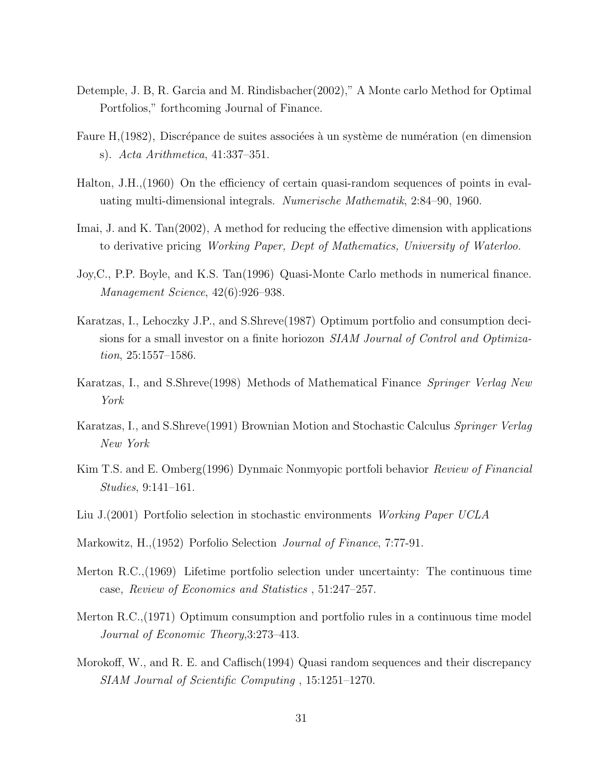- Detemple, J. B, R. Garcia and M. Rindisbacher(2002)," A Monte carlo Method for Optimal Portfolios," forthcoming Journal of Finance.
- Faure H,(1982), Discrépance de suites associées à un système de numération (en dimension s). Acta Arithmetica, 41:337–351.
- Halton, J.H.,(1960) On the efficiency of certain quasi-random sequences of points in evaluating multi-dimensional integrals. Numerische Mathematik, 2:84–90, 1960.
- Imai, J. and K. Tan(2002), A method for reducing the effective dimension with applications to derivative pricing Working Paper, Dept of Mathematics, University of Waterloo.
- Joy,C., P.P. Boyle, and K.S. Tan(1996) Quasi-Monte Carlo methods in numerical finance. Management Science, 42(6):926–938.
- Karatzas, I., Lehoczky J.P., and S.Shreve(1987) Optimum portfolio and consumption decisions for a small investor on a finite horiozon SIAM Journal of Control and Optimization, 25:1557–1586.
- Karatzas, I., and S.Shreve(1998) Methods of Mathematical Finance Springer Verlag New York
- Karatzas, I., and S.Shreve(1991) Brownian Motion and Stochastic Calculus Springer Verlag New York
- Kim T.S. and E. Omberg(1996) Dynmaic Nonmyopic portfoli behavior Review of Financial Studies, 9:141–161.
- Liu J.(2001) Portfolio selection in stochastic environments Working Paper UCLA
- Markowitz, H.,(1952) Porfolio Selection Journal of Finance, 7:77-91.
- Merton R.C.,(1969) Lifetime portfolio selection under uncertainty: The continuous time case, Review of Economics and Statistics , 51:247–257.
- Merton R.C.,(1971) Optimum consumption and portfolio rules in a continuous time model Journal of Economic Theory,3:273–413.
- Morokoff, W., and R. E. and Caflisch(1994) Quasi random sequences and their discrepancy SIAM Journal of Scientific Computing , 15:1251–1270.